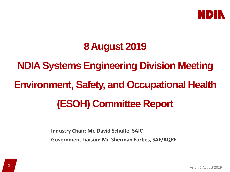

### **8 August 2019**

# **NDIA Systems Engineering Division Meeting Environment, Safety, and Occupational Health (ESOH) Committee Report**

**Industry Chair: Mr. David Schulte, SAIC Government Liaison: Mr. Sherman Forbes, SAF/AQRE**

As of: 6 August 2019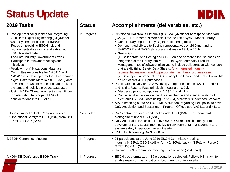## **Status Update**



| 2019 Tasks                                                                                                                                                                                                                                                                                                                                                                                                                                                                                                                                                                                                                                                                                                                           | <b>Status</b> | Accomplishments (deliverables, etc.)                                                                                                                                                                                                                                                                                                                                                                                                                                                                                                                                                                                                                                                                                                                                                                                                                                                                                                                                                                                                                                                                                                                                                                                                                                                                                                                      |
|--------------------------------------------------------------------------------------------------------------------------------------------------------------------------------------------------------------------------------------------------------------------------------------------------------------------------------------------------------------------------------------------------------------------------------------------------------------------------------------------------------------------------------------------------------------------------------------------------------------------------------------------------------------------------------------------------------------------------------------|---------------|-----------------------------------------------------------------------------------------------------------------------------------------------------------------------------------------------------------------------------------------------------------------------------------------------------------------------------------------------------------------------------------------------------------------------------------------------------------------------------------------------------------------------------------------------------------------------------------------------------------------------------------------------------------------------------------------------------------------------------------------------------------------------------------------------------------------------------------------------------------------------------------------------------------------------------------------------------------------------------------------------------------------------------------------------------------------------------------------------------------------------------------------------------------------------------------------------------------------------------------------------------------------------------------------------------------------------------------------------------------|
| 1. Develop practical guidance for integrating<br>ESOH into Digital Engineering (DE)/Model<br><b>Based Systems Engineering (MBSE)</b><br>- Focus on providing ESOH risk and<br>requirements data inputs and extracting<br><b>ESOH-related data</b><br>- Evaluate Industry/Government efforts<br>- Participate in relevant meetings and<br>initiatives<br>- Work with AIA Hazardous Materials<br>Committee responsible for NAS411 and<br>NAS411-1 to develop a method to exchange<br>digital Hazardous Materials (HAZMAT) data<br>between the system model, hazard tracking<br>system, and logistics product databases<br>- Using HAZMAT management as pathfinder<br>for integrating full scope of ESOH<br>considerations into DE/MBSE | In Progress   | • Developed Hazardous Materials (HAZMAT)/National Aerospace Standard<br>(NAS)411-1, "Hazardous Materials Tracked List," SysML Model Library<br>• Goal: Library importable by Digital Engineering tools<br>• Demonstrated Library to Boeing representatives on 24 June, and to<br>SAF/AQRE and DASD(S) representatives on 19 July 2019<br>• Next steps:<br>(1) Collaborate with Boeing and USAF on one or more pilot use cases on<br>integration of the Library into MBSE Life Cycle Materials/ Product<br>Management tools/software initiatives to include collaboration with vendors<br>that are digitizing Safety Data Sheets. Any interested Industry<br>representatives are invited to participate in a Library pilot use case.<br>(2) Developing a proposal for AIA to adopt the Library and make it available<br>as part of NAS411-1 purchases.<br>• Participated in DoD and AIA Working Group meetings on NAS411 and 411-1,<br>and held a Face-to-Face principals meeting on 8 July<br>• Discussed proposed updates to NAS411 and 411-1<br>• Continued discussions on the digital exchange and standardization of<br>electronic HAZMAT data using IPC-1754, Materials Declaration Standard.<br>• AIA is reaching out to ASD (S), Mr. McMahon, regarding DoD policy to have<br>DoD Acquisition and Sustainment Program Offices use NAS411 and 411-1 |
| 2. Assess impact of DoD Reorganization of<br>"Operational Safety" to USD (P&R) from USD<br>(R&E) and USD (A&S)                                                                                                                                                                                                                                                                                                                                                                                                                                                                                                                                                                                                                       | Completed     | • DoD centralized safety and health under USD (P&R); Environmental<br>Management under USD (A&S)<br>• DoD Acquisition ESOH IPT led by ODUSD(S) responsible for system<br>development and sustainment policy on environmental management and<br>system safety integration into engineering<br>• USD (A&S) rewriting DoDI 5000.02                                                                                                                                                                                                                                                                                                                                                                                                                                                                                                                                                                                                                                                                                                                                                                                                                                                                                                                                                                                                                           |
| 3. ESOH Committee Meeting                                                                                                                                                                                                                                                                                                                                                                                                                                                                                                                                                                                                                                                                                                            | In Progress   | • 21 participants at the June 2019 ESOH Committee meeting:<br>Industry 6 (29%), OSD 3 (14%), Army 2 (10%), Navy 4 (19%), Air Force 5<br>(24%); DCMA 1 (5%)<br>• Holding ESOH Committee meeting this afternoon (next chart)                                                                                                                                                                                                                                                                                                                                                                                                                                                                                                                                                                                                                                                                                                                                                                                                                                                                                                                                                                                                                                                                                                                                |
| 4. NDIA SE Conference ESOH Track                                                                                                                                                                                                                                                                                                                                                                                                                                                                                                                                                                                                                                                                                                     | In Progress   | • ESOH track formalized - 19 presentations selected; Follows HSI track. to<br>enable maximum participation in both due to content overlap                                                                                                                                                                                                                                                                                                                                                                                                                                                                                                                                                                                                                                                                                                                                                                                                                                                                                                                                                                                                                                                                                                                                                                                                                 |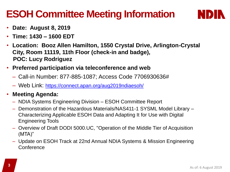## **ESOH Committee Meeting Information**



- **Date: August 8, 2019**
- **Time: 1430 – 1600 EDT**
- **Location: Booz Allen Hamilton, 1550 Crystal Drive, Arlington-Crystal City, Room 11119, 11th Floor (check-in and badge), POC: Lucy Rodriguez**
- **Preferred participation via teleconference and web**
	- Call-in Number: 877-885-1087; Access Code 7706930636#
	- Web Link: <https://connect.apan.org/aug2019ndiaesoh/>
- **Meeting Agenda:** 
	- NDIA Systems Engineering Division ESOH Committee Report
	- Demonstration of the Hazardous Materials/NAS411-1 SYSML Model Library Characterizing Applicable ESOH Data and Adapting It for Use with Digital Engineering Tools
	- Overview of Draft DODI 5000.UC, "Operation of the Middle Tier of Acquisition (MTA)"
	- Update on ESOH Track at 22nd Annual NDIA Systems & Mission Engineering **Conference**